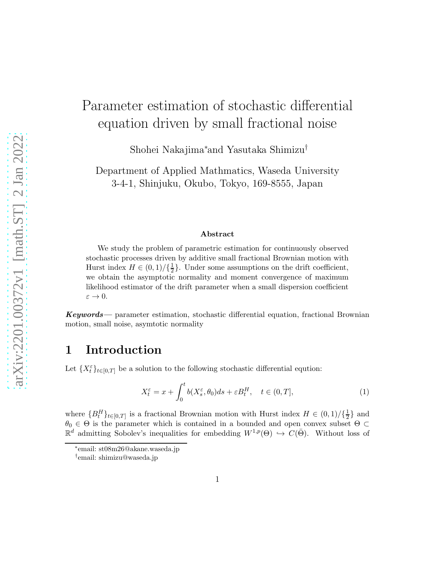# Parameter estimation of stochastic differential equation driven by small fractional noise

Shohei Nakajima<sup>∗</sup> and Yasutaka Shimizu†

Department of Applied Mathmatics, Waseda University 3-4-1, Shinjuku, Okubo, Tokyo, 169-8555, Japan

#### Abstract

We study the problem of parametric estimation for continuously observed stochastic processes driven by additive small fractional Brownian motion with Hurst index  $H \in (0,1)/\{\frac{1}{2}\}$  $\frac{1}{2}$ . Under some assumptions on the drift coefficient, we obtain the asymptotic normality and moment convergence of maximum likelihood estimator of the drift parameter when a small dispersion coefficient  $\varepsilon \to 0.$ 

Keywords— parameter estimation, stochastic differential equation, fractional Brownian motion, small noise, asymtotic normality

#### 1 Introduction

Let  $\{X_t^{\varepsilon}\}_{t\in[0,T]}$  be a solution to the following stochastic differential eqution:

<span id="page-0-0"></span>
$$
X_t^{\varepsilon} = x + \int_0^t b(X_s^{\varepsilon}, \theta_0) ds + \varepsilon B_t^H, \quad t \in (0, T],
$$
 (1)

where  ${B_t^H}_{t \in [0,T]}$  is a fractional Brownian motion with Hurst index  $H \in (0,1)/\{\frac{1}{2}\}$  $\frac{1}{2}$  and  $\theta_0 \in \Theta$  is the parameter which is contained in a bounded and open convex subset  $\Theta \subset$  $\mathbb{R}^d$  admitting Sobolev's inequalities for embedding  $W^{1,p}(\Theta) \hookrightarrow C(\bar{\Theta})$ . Without loss of

<sup>∗</sup> email: st08m26@akane.waseda.jp

<sup>†</sup> email: shimizu@waseda.jp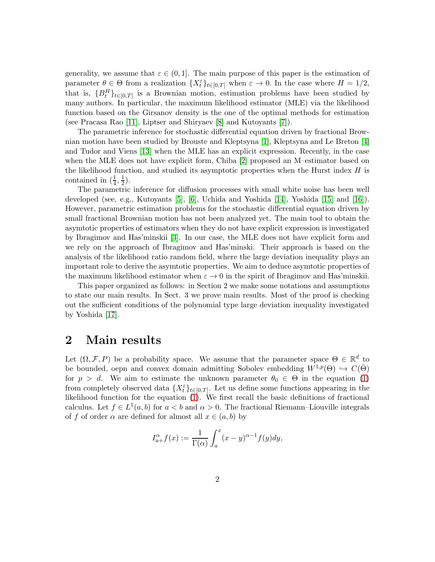generality, we assume that  $\varepsilon \in (0,1]$ . The main purpose of this paper is the estimation of parameter  $\theta \in \Theta$  from a realization  $\{X_t^{\varepsilon}\}_{t\in[0,T]}$  when  $\varepsilon \to 0$ . In the case where  $H = 1/2$ , that is,  ${B_t^H}_{t \in [0,T]}$  is a Brownian motion, estimation problems have been studied by many authors. In particular, the maximum likelihood estimator (MLE) via the likelihood function based on the Girsanov density is the one of the optimal methods for estimation (see Pracasa Rao [\[11\]](#page-12-0), Liptser and Shiryaev [\[8\]](#page-12-1) and Kutoyants [\[7\]](#page-12-2)).

The parametric inference for stochastic differential equation driven by fractional Brownian motion have been studied by Brouste and Kleptsyna [\[1\]](#page-11-0), Kleptsyna and Le Breton [\[4\]](#page-12-3) and Tudor and Viens [\[13\]](#page-12-4) when the MLE has an explicit expression. Recently, in the case when the MLE does not have explicit form, Chiba [\[2\]](#page-11-1) proposed an M–estimator based on the likelihood function, and studied its asymptotic properties when the Hurst index  $H$  is contained in  $(\frac{1}{4}, \frac{1}{2})$  $(\frac{1}{2})$ .

The parametric inference for diffusion processes with small white noise has been well developed (see, e.g., Kutoyants [\[5\]](#page-12-5), [\[6\]](#page-12-6), Uchida and Yoshida [\[14\]](#page-12-7), Yoshida [\[15\]](#page-12-8) and [\[16\]](#page-12-9)). However, parametric estimation problems for the stochastic differential equation driven by small fractional Brownian motion has not been analyzed yet. The main tool to obtain the asymtotic properties of estimators when they do not have explicit expression is investigated by Ibragimov and Has'minskii [\[3\]](#page-12-10). In our case, the MLE does not have explicit form and we rely on the approach of Ibragimov and Has'minski. Their approach is based on the analysis of the likelihood ratio random field, where the large deviation inequality plays an important role to derive the asymtotic properties. We aim to deduce asymtotic properties of the maximum likelihood estimator when  $\varepsilon \to 0$  in the spirit of Ibragimov and Has'minskii.

This paper organized as follows: in Section 2 we make some notations and assumptions to state our main results. In Sect. 3 we prove main results. Most of the proof is checking out the sufficient conditions of the polynomial type large deviation inequality investigated by Yoshida [\[17\]](#page-12-11).

#### 2 Main results

Let  $(\Omega, \mathcal{F}, P)$  be a probability space. We assume that the parameter space  $\Theta \in \mathbb{R}^d$  to be bounded, oepn and convex domain admitting Sobolev embedding  $W^{1,p}(\Theta) \hookrightarrow C(\bar{\Theta})$ for  $p > d$ . We aim to estimate the unknown parameter  $\theta_0 \in \Theta$  in the equation [\(1\)](#page-0-0) from completely observed data  $\{X_t^{\varepsilon}\}_{t\in[0,T]}$ . Let us define some functions appearing in the likelihood function for the equation [\(1\)](#page-0-0). We first recall the basic definitions of fractional calculus. Let  $f \in L^1(a, b)$  for  $a < b$  and  $\alpha > 0$ . The fractional Riemann–Liouville integrals of f of order  $\alpha$  are defined for almost all  $x \in (a, b)$  by

$$
I_{a+}^{\alpha}f(x) := \frac{1}{\Gamma(\alpha)} \int_{a}^{x} (x - y)^{\alpha - 1} f(y) dy,
$$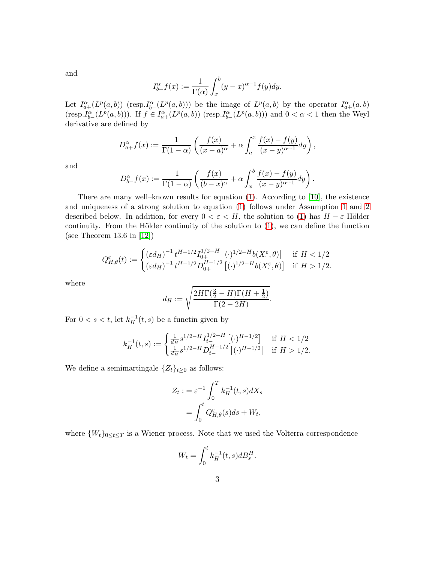and

$$
I_{b-}^{\alpha}f(x) := \frac{1}{\Gamma(\alpha)} \int_{x}^{b} (y - x)^{\alpha - 1} f(y) dy.
$$

Let  $I_{a+}^{\alpha}(L^p(a,b))$  (resp.  $I_{b-}^{\alpha}(L^p(a,b))$ ) be the image of  $L^p(a,b)$  by the operator  $I_{a+}^{\alpha}(a,b)$  $(\text{resp.} I_{b-}^{\alpha}(L^p(a,b)))$ . If  $f \in I_{a+}^{\alpha}(L^p(a,b))$  (resp. $I_{b-}^{\alpha}(L^p(a,b))$ ) and  $0 < \alpha < 1$  then the Weyl derivative are defined by

$$
D_{a+}^{\alpha}f(x) := \frac{1}{\Gamma(1-\alpha)} \left( \frac{f(x)}{(x-a)^{\alpha}} + \alpha \int_{a}^{x} \frac{f(x) - f(y)}{(x-y)^{\alpha+1}} dy \right),
$$

and

$$
D_{b-}^{\alpha}f(x) := \frac{1}{\Gamma(1-\alpha)} \left( \frac{f(x)}{(b-x)^{\alpha}} + \alpha \int_{x}^{b} \frac{f(x) - f(y)}{(x-y)^{\alpha+1}} dy \right).
$$

There are many well–known results for equation [\(1\)](#page-0-0). According to [\[10\]](#page-12-12), the existence and uniqueness of a strong solution to equation [\(1\)](#page-0-0) follows under Assumption [1](#page-4-0) and [2](#page-4-1) described below. In addition, for every  $0 < \varepsilon < H$ , the solution to [\(1\)](#page-0-0) has  $H - \varepsilon$  Hölder continuity. From the Hölder continuity of the solution to  $(1)$ , we can define the function (see Theorem 13.6 in [\[12\]](#page-12-13))

$$
Q_{H,\theta}^{\varepsilon}(t) := \begin{cases} (\varepsilon d_H)^{-1} t^{H-1/2} I_{0+}^{1/2-H} \left[ (\cdot)^{1/2-H} b(X_{\cdot}^{\varepsilon}, \theta) \right] & \text{if } H < 1/2\\ (\varepsilon d_H)^{-1} t^{H-1/2} D_{0+}^{H-1/2} \left[ (\cdot)^{1/2-H} b(X_{\cdot}^{\varepsilon}, \theta) \right] & \text{if } H > 1/2. \end{cases}
$$

where

$$
d_H := \sqrt{\frac{2H\Gamma(\frac{3}{2} - H)\Gamma(H + \frac{1}{2})}{\Gamma(2 - 2H)}}.
$$

For  $0 < s < t$ , let  $k_H^{-1}$  $_{H}^{-1}(t, s)$  be a functin given by

$$
k_H^{-1}(t,s) := \begin{cases} \frac{1}{d_H} s^{1/2 - H} I_{t-}^{1/2 - H} \left[ (\cdot)^{H-1/2} \right] & \text{if } H < 1/2\\ \frac{1}{d_H} s^{1/2 - H} D_{t-}^{H-1/2} \left[ (\cdot)^{H-1/2} \right] & \text{if } H > 1/2. \end{cases}
$$

We define a semimartingale  $\{Z_t\}_{t\geq 0}$  as follows:

$$
Z_t := \varepsilon^{-1} \int_0^T k_H^{-1}(t, s) dX_s
$$
  
= 
$$
\int_0^t Q_{H, \theta}^{\varepsilon}(s) ds + W_t,
$$

where  ${W_t}_{0 \leq t \leq T}$  is a Wiener process. Note that we used the Volterra correspondence

$$
W_t = \int_0^t k_H^{-1}(t,s) dB_s^H.
$$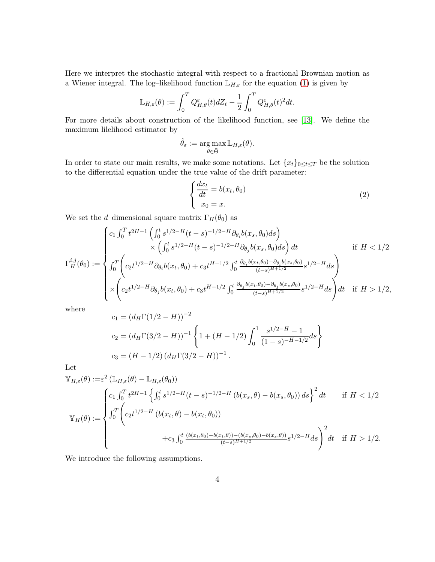Here we interpret the stochastic integral with respect to a fractional Brownian motion as a Wiener integral. The log-likelihood function  $\mathbb{L}_{H,\varepsilon}$  for the equation [\(1\)](#page-0-0) is given by

$$
\mathbb{L}_{H,\varepsilon}(\theta) := \int_0^T Q_{H,\theta}^{\varepsilon}(t) dZ_t - \frac{1}{2} \int_0^T Q_{H,\theta}^{\varepsilon}(t)^2 dt.
$$

For more details about construction of the likelihood function, see [\[13\]](#page-12-4). We define the maximum lilelihood estimator by

$$
\hat{\theta}_{\varepsilon} := \argmax_{\theta \in \bar{\Theta}} \mathbb{L}_{H,\varepsilon}(\theta).
$$

In order to state our main results, we make some notations. Let  ${x_t}_{0 \leq t \leq T}$  be the solution to the differential equation under the true value of the drift parameter:

<span id="page-3-0"></span>
$$
\begin{cases}\n\frac{dx_t}{dt} = b(x_t, \theta_0) \\
x_0 = x.\n\end{cases} \tag{2}
$$

We set the d–dimensional square matrix  $\Gamma_H(\theta_0)$  as

$$
\Gamma_{H}^{i,j}(\theta_{0}) := \begin{cases} c_{1} \int_{0}^{T} t^{2H-1} \left( \int_{0}^{t} s^{1/2-H}(t-s)^{-1/2-H} \partial_{\theta_{i}} b(x_{s}, \theta_{0}) ds \right) \\ \times \left( \int_{0}^{t} s^{1/2-H}(t-s)^{-1/2-H} \partial_{\theta_{j}} b(x_{s}, \theta_{0}) ds \right) dt & \text{if } H < 1/2 \\ \int_{0}^{T} \left( c_{2} t^{1/2-H} \partial_{\theta_{i}} b(x_{t}, \theta_{0}) + c_{3} t^{H-1/2} \int_{0}^{t} \frac{\partial_{\theta_{i}} b(x_{t}, \theta_{0}) - \partial_{\theta_{i}} b(x_{s}, \theta_{0})}{(t-s)^{H+1/2}} s^{1/2-H} ds \right) \\ \times \left( c_{2} t^{1/2-H} \partial_{\theta_{j}} b(x_{t}, \theta_{0}) + c_{3} t^{H-1/2} \int_{0}^{t} \frac{\partial_{\theta_{j}} b(x_{t}, \theta_{0}) - \partial_{\theta_{j}} b(x_{s}, \theta_{0})}{(t-s)^{H+1/2}} s^{1/2-H} ds \right) dt & \text{if } H > 1/2, \end{cases}
$$

where

$$
c_1 = (d_H \Gamma(1/2 - H))^{-2}
$$
  
\n
$$
c_2 = (d_H \Gamma(3/2 - H))^{-1} \left\{ 1 + (H - 1/2) \int_0^1 \frac{s^{1/2 - H} - 1}{(1 - s)^{-H - 1/2}} ds \right\}
$$
  
\n
$$
c_3 = (H - 1/2) (d_H \Gamma(3/2 - H))^{-1}.
$$

Let

$$
\mathbb{Y}_{H,\varepsilon}(\theta) := \varepsilon^2 \left( \mathbb{L}_{H,\varepsilon}(\theta) - \mathbb{L}_{H,\varepsilon}(\theta_0) \right)
$$
\n
$$
\mathbb{Y}_H(\theta) := \begin{cases}\nc_1 \int_0^T t^{2H-1} \left\{ \int_0^t s^{1/2-H}(t-s)^{-1/2-H} \left( b(x_s, \theta) - b(x_s, \theta_0) \right) ds \right\}^2 dt & \text{if } H < 1/2 \\
\int_0^T \left( c_2 t^{1/2-H} \left( b(x_t, \theta) - b(x_t, \theta_0) \right) & \text{if } H < 1/2, \\
& + c_3 \int_0^t \frac{\left( b(x_t, \theta_0) - b(x_t, \theta) \right) - \left( b(x_s, \theta_0) - b(x_s, \theta) \right)}{(t-s)^{H+1/2}} s^{1/2-H} ds \right)^2 dt & \text{if } H > 1/2.\n\end{cases}
$$

We introduce the following assumptions.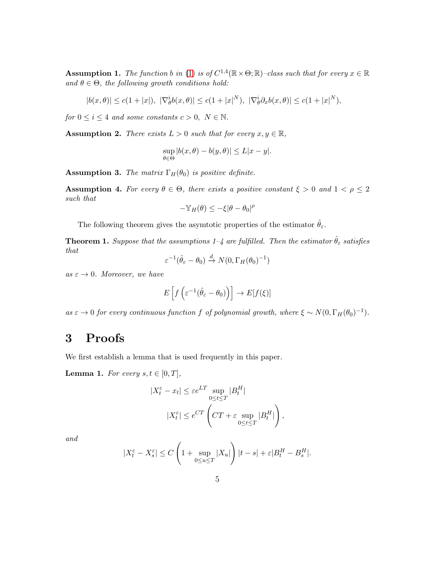<span id="page-4-0"></span>**Assumption 1.** The function b in [\(1\)](#page-0-0) is of  $C^{1,4}(\mathbb{R} \times \Theta; \mathbb{R})$ -class such that for every  $x \in \mathbb{R}$ and  $\theta \in \Theta$ , the following growth conditions hold:

$$
|b(x,\theta)| \le c(1+|x|), \ |\nabla_{\theta}^{i}b(x,\theta)| \le c(1+|x|^{N}), \ |\nabla_{\theta}^{i}\partial_{x}b(x,\theta)| \le c(1+|x|^{N}),
$$

for  $0 \le i \le 4$  and some constants  $c > 0$ ,  $N \in \mathbb{N}$ .

<span id="page-4-1"></span>**Assumption 2.** There exists  $L > 0$  such that for every  $x, y \in \mathbb{R}$ ,

$$
\sup_{\theta \in \Theta} |b(x, \theta) - b(y, \theta)| \le L|x - y|.
$$

**Assumption 3.** The matrix  $\Gamma_H(\theta_0)$  is positive definite.

Assumption 4. For every  $\theta \in \Theta$ , there exists a positive constant  $\xi > 0$  and  $1 < \rho \leq 2$ such that

$$
-\mathbb{Y}_H(\theta) \le -\xi |\theta - \theta_0|^{\rho}
$$

The following theorem gives the asymtotic properties of the estimator  $\hat{\theta}_{\varepsilon}$ .

**Theorem 1.** Suppose that the assumptions 1–4 are fulfilled. Then the estimator  $\hat{\theta}_{\varepsilon}$  satisfies that

$$
\varepsilon^{-1}(\hat{\theta}_{\varepsilon} - \theta_0) \xrightarrow{d} N(0, \Gamma_H(\theta_0)^{-1})
$$

as  $\varepsilon \to 0$ . Moreover, we have

$$
E\left[f\left(\varepsilon^{-1}(\hat{\theta}_{\varepsilon}-\theta_0)\right)\right] \to E[f(\xi)]
$$

as  $\varepsilon \to 0$  for every continuous function f of polynomial growth, where  $\xi \sim N(0, \Gamma_H(\theta_0)^{-1})$ .

## 3 Proofs

We first establish a lemma that is used frequently in this paper.

<span id="page-4-2"></span>**Lemma 1.** For every  $s, t \in [0, T]$ ,

$$
|X_t^{\varepsilon} - x_t| \le \varepsilon e^{LT} \sup_{0 \le t \le T} |B_t^H|
$$
  

$$
|X_t^{\varepsilon}| \le e^{CT} \left( CT + \varepsilon \sup_{0 \le t \le T} |B_t^H| \right),
$$

and

$$
|X_t^{\varepsilon} - X_s^{\varepsilon}| \le C \left( 1 + \sup_{0 \le u \le T} |X_u| \right) |t - s| + \varepsilon |B_t^H - B_s^H|.
$$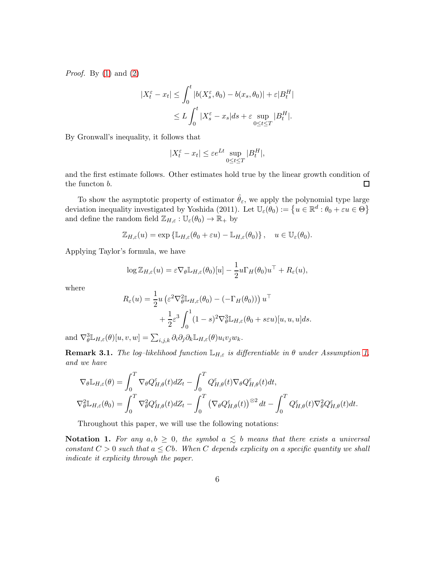*Proof.* By  $(1)$  and  $(2)$ 

$$
|X_t^{\varepsilon} - x_t| \le \int_0^t |b(X_s^{\varepsilon}, \theta_0) - b(x_s, \theta_0)| + \varepsilon |B_t^H|
$$
  

$$
\le L \int_0^t |X_s^{\varepsilon} - x_s| ds + \varepsilon \sup_{0 \le t \le T} |B_t^H|.
$$

By Gronwall's inequality, it follows that

$$
|X_t^{\varepsilon} - x_t| \le \varepsilon e^{Lt} \sup_{0 \le t \le T} |B_t^H|,
$$

and the first estimate follows. Other estimates hold true by the linear growth condition of the functon b.  $\Box$ 

To show the asymptotic property of estimator  $\hat{\theta}_{\varepsilon}$ , we apply the polynomial type large deviation inequality investigated by Yoshida (2011). Let  $\mathbb{U}_{\varepsilon}(\theta_0) := \{u \in \mathbb{R}^d : \theta_0 + \varepsilon u \in \Theta\}$ and define the random field  $\mathbb{Z}_{H,\varepsilon}: \mathbb{U}_{\varepsilon}(\theta_0) \to \mathbb{R}_+$  by

$$
\mathbb{Z}_{H,\varepsilon}(u) = \exp \left\{ \mathbb{L}_{H,\varepsilon}(\theta_0 + \varepsilon u) - \mathbb{L}_{H,\varepsilon}(\theta_0) \right\}, \quad u \in \mathbb{U}_{\varepsilon}(\theta_0).
$$

Applying Taylor's formula, we have

$$
\log \mathbb{Z}_{H,\varepsilon}(u) = \varepsilon \nabla_{\theta} \mathbb{L}_{H,\varepsilon}(\theta_0)[u] - \frac{1}{2} u \Gamma_H(\theta_0) u^{\top} + R_{\varepsilon}(u),
$$

where

$$
R_{\varepsilon}(u) = \frac{1}{2} u \left( \varepsilon^2 \nabla_{\theta}^2 \mathbb{L}_{H, \varepsilon}(\theta_0) - (-\Gamma_H(\theta_0)) \right) u^{\top} + \frac{1}{2} \varepsilon^3 \int_0^1 (1 - s)^2 \nabla_{\theta}^3 \mathbb{L}_{H, \varepsilon}(\theta_0 + s\varepsilon u) [u, u, u] ds.
$$

and  $\nabla^3_\theta \mathbb{L}_{H,\varepsilon}(\theta)[u, v, w] = \sum_{i,j,k} \partial_i \partial_j \partial_k \mathbb{L}_{H,\varepsilon}(\theta) u_i v_j w_k.$ 

<span id="page-5-0"></span>**Remark 3.1.** The log-likelihood function  $\mathbb{L}_{H,\varepsilon}$  is differentiable in  $\theta$  under Assumption [1,](#page-4-0) and we have

$$
\nabla_{\theta} \mathbb{L}_{H,\varepsilon}(\theta) = \int_0^T \nabla_{\theta} Q_{H,\theta}^{\varepsilon}(t) dZ_t - \int_0^T Q_{H,\theta}^{\varepsilon}(t) \nabla_{\theta} Q_{H,\theta}^{\varepsilon}(t) dt,
$$
  

$$
\nabla_{\theta}^2 \mathbb{L}_{H,\varepsilon}(\theta_0) = \int_0^T \nabla_{\theta}^2 Q_{H,\theta}^{\varepsilon}(t) dZ_t - \int_0^T (\nabla_{\theta} Q_{H,\theta}^{\varepsilon}(t))^{\otimes 2} dt - \int_0^T Q_{H,\theta}^{\varepsilon}(t) \nabla_{\theta}^2 Q_{H,\theta}^{\varepsilon}(t) dt.
$$

Throughout this paper, we will use the following notations:

Notation 1. For any  $a, b \geq 0$ , the symbol  $a \leq b$  means that there exists a universal constant  $C > 0$  such that  $a \leq Cb$ . When C depends explicity on a specific quantity we shall indicate it explicity through the paper.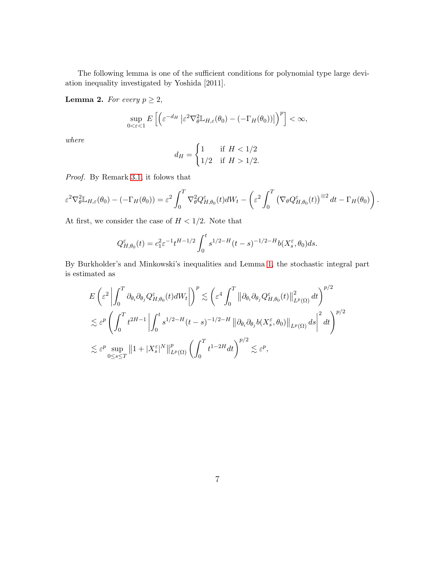The following lemma is one of the sufficient conditions for polynomial type large deviation inequality investigated by Yoshida [2011].

<span id="page-6-0"></span>**Lemma 2.** For every  $p \geq 2$ ,

$$
\sup_{0<\varepsilon<1} E\left[\left(\varepsilon^{-d_H}\left|\varepsilon^2 \nabla_{\theta}^2 \mathbb{L}_{H,\varepsilon}(\theta_0) - (-\Gamma_H(\theta_0))\right|\right)^p\right] < \infty,
$$

where

$$
d_H = \begin{cases} 1 & \text{if } H < 1/2 \\ 1/2 & \text{if } H > 1/2. \end{cases}
$$

Proof. By Remark [3.1,](#page-5-0) it folows that

$$
\varepsilon^2 \nabla_{\theta}^2 \mathbb{L}_{H,\varepsilon}(\theta_0) - (-\Gamma_H(\theta_0)) = \varepsilon^2 \int_0^T \nabla_{\theta}^2 Q_{H,\theta_0}^{\varepsilon}(t) dW_t - \left(\varepsilon^2 \int_0^T (\nabla_{\theta} Q_{H,\theta_0}^{\varepsilon}(t))^{\otimes 2} dt - \Gamma_H(\theta_0)\right).
$$

At first, we consider the case of  $H < 1/2$ . Note that

$$
Q_{H,\theta_0}^{\varepsilon}(t) = c_1^2 \varepsilon^{-1} t^{H-1/2} \int_0^t s^{1/2-H} (t-s)^{-1/2-H} b(X_s^{\varepsilon}, \theta_0) ds.
$$

By Burkholder's and Minkowski's inequalities and Lemma [1,](#page-4-2) the stochastic integral part is estimated as

$$
E\left(\varepsilon^{2}\left|\int_{0}^{T}\partial_{\theta_{i}}\partial_{\theta_{j}}Q_{H,\theta_{0}}^{\varepsilon}(t)dW_{t}\right|\right)^{p} \lesssim \left(\varepsilon^{4}\int_{0}^{T}\left\|\partial_{\theta_{i}}\partial_{\theta_{j}}Q_{H,\theta_{0}}^{\varepsilon}(t)\right\|_{L^{p}(\Omega)}^{2}dt\right)^{p/2}
$$
  

$$
\lesssim \varepsilon^{p}\left(\int_{0}^{T}t^{2H-1}\left|\int_{0}^{t}s^{1/2-H}(t-s)^{-1/2-H}\left\|\partial_{\theta_{i}}\partial_{\theta_{j}}b(X_{s}^{\varepsilon},\theta_{0})\right\|_{L^{p}(\Omega)}ds\right|^{2}dt\right)^{p/2}
$$
  

$$
\lesssim \varepsilon^{p}\sup_{0\leq s\leq T}\left\|1+|X_{s}^{\varepsilon}|^{N}\right\|_{L^{p}(\Omega)}^{p}\left(\int_{0}^{T}t^{1-2H}dt\right)^{p/2}\lesssim \varepsilon^{p},
$$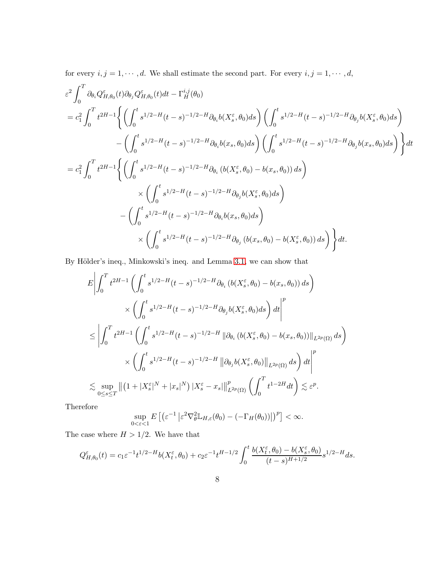for every  $i, j = 1, \dots, d$ . We shall estimate the second part. For every  $i, j = 1, \dots, d$ ,

$$
\varepsilon^{2} \int_{0}^{T} \partial_{\theta_{i}} Q_{H,\theta_{0}}^{\varepsilon}(t) \partial_{\theta_{j}} Q_{H,\theta_{0}}^{\varepsilon}(t) dt - \Gamma_{H}^{i,j}(\theta_{0})
$$
\n
$$
= c_{1}^{2} \int_{0}^{T} t^{2H-1} \Biggl\{ \left( \int_{0}^{t} s^{1/2-H}(t-s)^{-1/2-H} \partial_{\theta_{i}} b(X_{s}^{\varepsilon}, \theta_{0}) ds \right) \left( \int_{0}^{t} s^{1/2-H}(t-s)^{-1/2-H} \partial_{\theta_{j}} b(X_{s}^{\varepsilon}, \theta_{0}) ds \right) - \left( \int_{0}^{t} s^{1/2-H}(t-s)^{-1/2-H} \partial_{\theta_{i}} b(x_{s}, \theta_{0}) ds \right) \left( \int_{0}^{t} s^{1/2-H}(t-s)^{-1/2-H} \partial_{\theta_{j}} b(x_{s}, \theta_{0}) ds \right) \Biggr\} dt
$$
\n
$$
= c_{1}^{2} \int_{0}^{T} t^{2H-1} \Biggl\{ \left( \int_{0}^{t} s^{1/2-H}(t-s)^{-1/2-H} \partial_{\theta_{i}} (b(X_{s}^{\varepsilon}, \theta_{0}) - b(x_{s}, \theta_{0})) ds \right) \times \left( \int_{0}^{t} s^{1/2-H}(t-s)^{-1/2-H} \partial_{\theta_{j}} b(X_{s}^{\varepsilon}, \theta_{0}) ds \right) - \left( \int_{0}^{t} s^{1/2-H}(t-s)^{-1/2-H} \partial_{\theta_{i}} b(x_{s}, \theta_{0}) ds \right) \Biggr\}
$$
\n
$$
\times \left( \int_{0}^{t} s^{1/2-H}(t-s)^{-1/2-H} \partial_{\theta_{j}} (b(x_{s}, \theta_{0}) - b(X_{s}^{\varepsilon}, \theta_{0})) ds \right) \Biggr\} dt.
$$

By Hölder's ineq., Minkowski's ineq. and Lemma [3.1,](#page-5-0) we can show that

$$
E\left|\int_{0}^{T} t^{2H-1} \left(\int_{0}^{t} s^{1/2-H}(t-s)^{-1/2-H} \partial_{\theta_{i}}\left(b(X_{s}^{\varepsilon}, \theta_{0}) - b(x_{s}, \theta_{0}\right)\right) ds\right) \times \left(\int_{0}^{t} s^{1/2-H}(t-s)^{-1/2-H} \partial_{\theta_{j}}b(X_{s}^{\varepsilon}, \theta_{0}) ds\right) dt\right|^{p}
$$
  

$$
\leq \left|\int_{0}^{T} t^{2H-1} \left(\int_{0}^{t} s^{1/2-H}(t-s)^{-1/2-H} \left\|\partial_{\theta_{i}}\left(b(X_{s}^{\varepsilon}, \theta_{0}) - b(x_{s}, \theta_{0}\right)\right)\right\|_{L^{2p}(\Omega)} ds\right) \times \left(\int_{0}^{t} s^{1/2-H}(t-s)^{-1/2-H} \left\|\partial_{\theta_{j}}b(X_{s}^{\varepsilon}, \theta_{0})\right\|_{L^{2p}(\Omega)} ds\right) dt\right|^{p}
$$
  

$$
\lesssim \sup_{0 \leq s \leq T} \left\|\left(1 + |X_{s}^{\varepsilon}|^{N} + |x_{s}|^{N}\right) |X_{s}^{\varepsilon} - x_{s}| \right\|_{L^{2p}(\Omega)}^{p} \left(\int_{0}^{T} t^{1-2H} dt\right) \lesssim \varepsilon^{p}.
$$

Therefore

$$
\sup_{0<\varepsilon<1} E\left[\left(\varepsilon^{-1}\left|\varepsilon^2 \nabla_{\theta}^2 \mathbb{L}_{H,\varepsilon}(\theta_0) - \left(-\Gamma_H(\theta_0)\right)\right|\right)^p\right] < \infty.
$$

The case where  $H > 1/2$ . We have that

$$
Q_{H,\theta_0}^{\varepsilon}(t) = c_1 \varepsilon^{-1} t^{1/2-H} b(X_t^{\varepsilon}, \theta_0) + c_2 \varepsilon^{-1} t^{H-1/2} \int_0^t \frac{b(X_t^{\varepsilon}, \theta_0) - b(X_s^{\varepsilon}, \theta_0)}{(t-s)^{H+1/2}} s^{1/2-H} ds.
$$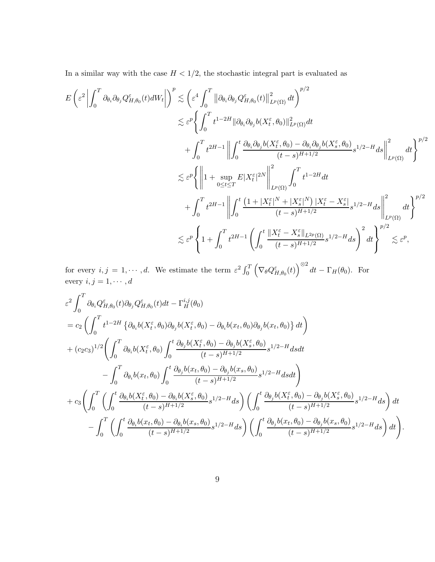In a similar way with the case  $H<1/2,$  the stochastic integral part is evaluated as

$$
E\left(\varepsilon^{2}\left|\int_{0}^{T}\partial_{\theta_{i}}\partial_{\theta_{j}}Q_{H,\theta_{0}}^{\varepsilon}(t)dW_{t}\right|\right)^{p} \lesssim \left(\varepsilon^{4}\int_{0}^{T}\left\|\partial_{\theta_{i}}\partial_{\theta_{j}}Q_{H,\theta_{0}}^{\varepsilon}(t)\right\|_{L^{p}(\Omega)}^{2}dt\right)^{p/2} \n\lesssim \varepsilon^{p}\left\{\int_{0}^{T}t^{1-2H}\|\partial_{\theta_{i}}\partial_{\theta_{j}}b(X_{t}^{\varepsilon},\theta_{0})\|_{L^{p}(\Omega)}^{2}dt\right. \n\left.+\int_{0}^{T}t^{2H-1}\left\|\int_{0}^{t}\frac{\partial_{\theta_{i}}\partial_{\theta_{j}}b(X_{t}^{\varepsilon},\theta_{0})-\partial_{\theta_{i}}\partial_{\theta_{j}}b(X_{s}^{\varepsilon},\theta_{0})}{(t-s)^{H+1/2}}s^{1/2-H}ds\right\|_{L^{p}(\Omega)}^{2}dt\right\}^{p/2} \n\lesssim \varepsilon^{p}\left\{\left\|1+\sup_{0\leq t\leq T}E|X_{t}^{\varepsilon}|^{2N}\right\|_{L^{p}(\Omega)}^{2}\int_{0}^{T}t^{1-2H}dt\right. \n\left.+\int_{0}^{T}t^{2H-1}\left\|\int_{0}^{t}\frac{(1+|X_{t}^{\varepsilon}|^{N}+|X_{s}^{\varepsilon}|^{N})|X_{t}^{\varepsilon}-X_{s}^{\varepsilon}|}{(t-s)^{H+1/2}}s^{1/2-H}ds\right\|_{L^{p}(\Omega)}^{2}dt\right\}^{p/2} \n\lesssim \varepsilon^{p}\left\{1+\int_{0}^{T}t^{2H-1}\left(\int_{0}^{t}\frac{\|X_{t}^{\varepsilon}-X_{s}^{\varepsilon}\|_{L^{2p}(\Omega)}}{(t-s)^{H+1/2}}s^{1/2-H}ds\right)^{2}dt\right\}^{p/2} \lesssim \varepsilon^{p},
$$

for every  $i, j = 1, \dots, d$ . We estimate the term  $\varepsilon^2 \int_0^T \left( \nabla_\theta Q_{H, \theta_0}^\varepsilon(t) \right)^{\otimes 2} dt - \Gamma_H(\theta_0)$ . For every  $i, j = 1, \cdots, d$ 

$$
\varepsilon^{2} \int_{0}^{T} \partial_{\theta_{i}} Q_{H,\theta_{0}}^{\varepsilon}(t) \partial_{\theta_{j}} Q_{H,\theta_{0}}^{\varepsilon}(t) dt - \Gamma_{H}^{i,j}(\theta_{0})
$$
\n
$$
= c_{2} \left( \int_{0}^{T} t^{1-2H} \left\{ \partial_{\theta_{i}} b(X_{t}^{\varepsilon}, \theta_{0}) \partial_{\theta_{j}} b(X_{t}^{\varepsilon}, \theta_{0}) - \partial_{\theta_{i}} b(x_{t}, \theta_{0}) \partial_{\theta_{j}} b(x_{t}, \theta_{0}) \right\} dt \right)
$$
\n
$$
+ (c_{2}c_{3})^{1/2} \left( \int_{0}^{T} \partial_{\theta_{i}} b(X_{t}^{\varepsilon}, \theta_{0}) \int_{0}^{t} \frac{\partial_{\theta_{j}} b(X_{t}^{\varepsilon}, \theta_{0}) - \partial_{\theta_{j}} b(X_{s}^{\varepsilon}, \theta_{0})}{(t-s)^{H+1/2}} s^{1/2-H} ds dt \right.
$$
\n
$$
- \int_{0}^{T} \partial_{\theta_{i}} b(x_{t}, \theta_{0}) \int_{0}^{t} \frac{\partial_{\theta_{j}} b(x_{t}, \theta_{0}) - \partial_{\theta_{j}} b(x_{s}, \theta_{0})}{(t-s)^{H+1/2}} s^{1/2-H} ds dt \right)
$$
\n
$$
+ c_{3} \left( \int_{0}^{T} \left( \int_{0}^{t} \frac{\partial_{\theta_{i}} b(X_{t}^{\varepsilon}, \theta_{0}) - \partial_{\theta_{i}} b(X_{s}^{\varepsilon}, \theta_{0})}{(t-s)^{H+1/2}} s^{1/2-H} ds \right) \left( \int_{0}^{t} \frac{\partial_{\theta_{j}} b(X_{t}^{\varepsilon}, \theta_{0}) - \partial_{\theta_{j}} b(X_{s}^{\varepsilon}, \theta_{0})}{(t-s)^{H+1/2}} s^{1/2-H} ds \right) dt - \int_{0}^{T} \left( \int_{0}^{t} \frac{\partial_{\theta_{i}} b(x_{t}, \theta_{0}) - \partial_{\theta_{i}} b(x_{s}, \theta_{0})}{(t-s)^{H+1/2}} s^{1/2-H} ds \right) \left( \int_{0}^{t} \frac{\partial_{\theta_{j}} b(x_{
$$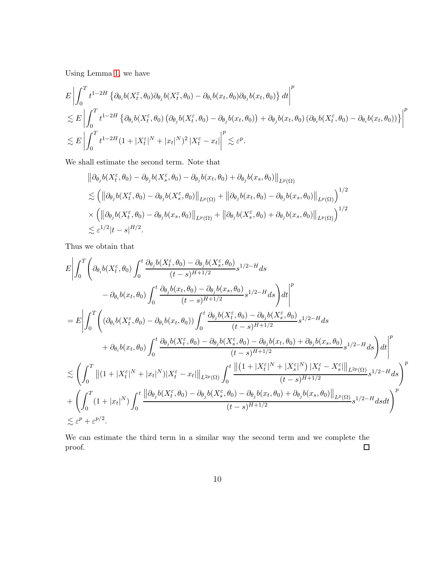Using Lemma [1,](#page-4-2) we have

$$
E\left|\int_{0}^{T} t^{1-2H} \left\{\partial_{\theta_{i}}b(X_{t}^{\varepsilon}, \theta_{0})\partial_{\theta_{j}}b(X_{t}^{\varepsilon}, \theta_{0}) - \partial_{\theta_{i}}b(x_{t}, \theta_{0})\partial_{\theta_{j}}b(x_{t}, \theta_{0})\right\}dt\right|^{p}
$$
  
\n
$$
\lesssim E\left|\int_{0}^{T} t^{1-2H} \left\{\partial_{\theta_{i}}b(X_{t}^{\varepsilon}, \theta_{0})\left(\partial_{\theta_{j}}b(X_{t}^{\varepsilon}, \theta_{0}) - \partial_{\theta_{j}}b(x_{t}, \theta_{0})\right) + \partial_{\theta_{j}}b(x_{t}, \theta_{0})\left(\partial_{\theta_{i}}b(X_{t}^{\varepsilon}, \theta_{0}) - \partial_{\theta_{i}}b(x_{t}, \theta_{0})\right)\right\}^{p}
$$
  
\n
$$
\lesssim E\left|\int_{0}^{T} t^{1-2H}(1+|X_{t}^{\varepsilon}|^{N}+|x_{t}|^{N})^{2}|X_{t}^{\varepsilon} - x_{t}|\right|^{p} \lesssim \varepsilon^{p}.
$$

We shall estimate the second term. Note that

$$
\begin{split} &\left\|\partial_{\theta_j}b(X_t^{\varepsilon},\theta_0)-\partial_{\theta_j}b(X_s^{\varepsilon},\theta_0)-\partial_{\theta_j}b(x_t,\theta_0)+\partial_{\theta_j}b(x_s,\theta_0)\right\|_{L^p(\Omega)}\\ &\lesssim \left(\left\|\partial_{\theta_j}b(X_t^{\varepsilon},\theta_0)-\partial_{\theta_j}b(X_s^{\varepsilon},\theta_0)\right\|_{L^p(\Omega)}+\left\|\partial_{\theta_j}b(x_t,\theta_0)-\partial_{\theta_j}b(x_s,\theta_0)\right\|_{L^p(\Omega)}\right)^{1/2}\\ &\times\left(\left\|\partial_{\theta_j}b(X_t^{\varepsilon},\theta_0)-\partial_{\theta_j}b(x_s,\theta_0)\right\|_{L^p(\Omega)}+\left\|\partial_{\theta_j}b(X_s^{\varepsilon},\theta_0)+\partial_{\theta_j}b(x_s,\theta_0)\right\|_{L^p(\Omega)}\right)^{1/2}\\ &\lesssim \varepsilon^{1/2}|t-s|^{H/2}.\end{split}
$$

Thus we obtain that

$$
E\left|\int_{0}^{T}\left(\partial_{\theta_{i}}b(X_{t}^{\varepsilon},\theta_{0})\int_{0}^{t}\frac{\partial_{\theta_{j}}b(X_{t}^{\varepsilon},\theta_{0})-\partial_{\theta_{j}}b(X_{s}^{\varepsilon},\theta_{0})}{(t-s)^{H+1/2}}s^{1/2-H}ds\right.\right.
$$
\n
$$
-\partial_{\theta_{i}}b(x_{t},\theta_{0})\int_{0}^{t}\frac{\partial_{\theta_{j}}b(x_{t},\theta_{0})-\partial_{\theta_{j}}b(x_{s},\theta_{0})}{(t-s)^{H+1/2}}s^{1/2-H}ds\right)dt\right|^{p}
$$
\n
$$
=E\left|\int_{0}^{T}\left(\left(\partial_{\theta_{i}}b(X_{t}^{\varepsilon},\theta_{0})-\partial_{\theta_{i}}b(x_{t},\theta_{0})\right)\int_{0}^{t}\frac{\partial_{\theta_{j}}b(X_{t}^{\varepsilon},\theta_{0})-\partial_{\theta_{j}}b(X_{s}^{\varepsilon},\theta_{0})}{(t-s)^{H+1/2}}s^{1/2-H}ds\right.\right.
$$
\n
$$
+\partial_{\theta_{i}}b(x_{t},\theta_{0})\int_{0}^{t}\frac{\partial_{\theta_{j}}b(X_{t}^{\varepsilon},\theta_{0})-\partial_{\theta_{j}}b(X_{s}^{\varepsilon},\theta_{0})-\partial_{\theta_{j}}b(x_{t},\theta_{0})+\partial_{\theta_{j}}b(x_{s},\theta_{0})}{(t-s)^{H+1/2}}s^{1/2-H}ds\right)dt\right|^{p}
$$
\n
$$
\lesssim \left(\int_{0}^{T}\left|\left| (1+|X_{t}^{\varepsilon}|^{N}+|x_{t}|^{N})|X_{t}^{\varepsilon}-x_{t}|\right|\right|_{L^{2p}(\Omega)}\int_{0}^{t}\frac{\left|\left| (1+|X_{t}^{\varepsilon}|^{N}+|X_{s}^{\varepsilon}|^{N})|X_{t}^{\varepsilon}-X_{s}^{\varepsilon}| \right|\right|_{L^{2p}(\Omega)}}{(t-s)^{H+1/2}s^{1/2-H}ds}\right)^{p}
$$
\n
$$
+\left(\int_{0}^{T}\left(1+|x_{t}|^{N}\right)\int_{0}^{t}\frac{\left|\partial_{\theta_{j}}b
$$

We can estimate the third term in a similar way the second term and we complete the proof.  $\Box$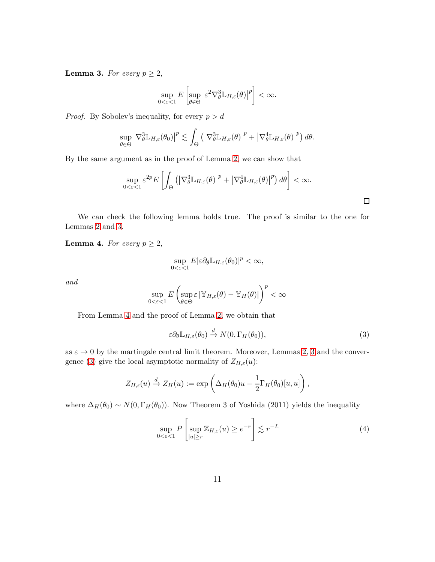<span id="page-10-0"></span>**Lemma 3.** For every  $p \geq 2$ ,

$$
\sup_{0<\varepsilon<1} E\left[\sup_{\theta\in\Theta} |\varepsilon^2 \nabla_{\theta}^3 \mathbb{L}_{H,\varepsilon}(\theta)|^p\right] < \infty.
$$

*Proof.* By Sobolev's inequality, for every  $p > d$ 

$$
\sup_{\theta \in \Theta} \left| \nabla_{\theta}^{3} \mathbb{L}_{H,\varepsilon}(\theta_{0}) \right|^{p} \lesssim \int_{\Theta} \left( \left| \nabla_{\theta}^{3} \mathbb{L}_{H,\varepsilon}(\theta) \right|^{p} + \left| \nabla_{\theta}^{4} \mathbb{L}_{H,\varepsilon}(\theta) \right|^{p} \right) d\theta.
$$

By the same argument as in the proof of Lemma [2,](#page-6-0) we can show that

$$
\sup_{0<\varepsilon<1} \varepsilon^{2p} E\left[\int_{\Theta} \left(\left|\nabla_{\theta}^3 \mathbb{L}_{H,\varepsilon}(\theta)\right|^p + \left|\nabla_{\theta}^4 \mathbb{L}_{H,\varepsilon}(\theta)\right|^p\right) d\theta\right] < \infty.
$$

We can check the following lemma holds true. The proof is similar to the one for Lemmas [2](#page-6-0) and [3.](#page-10-0)

<span id="page-10-1"></span>**Lemma 4.** For every  $p \geq 2$ ,

$$
\sup_{0<\varepsilon<1}E|\varepsilon\partial_\theta\mathbb{L}_{H,\varepsilon}(\theta_0)|^p<\infty,
$$

and

$$
\sup_{0<\varepsilon<1} E\left(\sup_{\theta\in\Theta}\varepsilon\left|\mathbb{Y}_{H,\varepsilon}(\theta)-\mathbb{Y}_{H}(\theta)\right|\right)^p<\infty
$$

From Lemma [4](#page-10-1) and the proof of Lemma [2,](#page-6-0) we obtain that

<span id="page-10-2"></span>
$$
\varepsilon \partial_{\theta} \mathbb{L}_{H,\varepsilon}(\theta_0) \xrightarrow{d} N(0, \Gamma_H(\theta_0)), \tag{3}
$$

 $\Box$ 

as  $\varepsilon \to 0$  by the martingale central limit theorem. Moreover, Lemmas [2,](#page-6-0) [3](#page-10-0) and the conver-gence [\(3\)](#page-10-2) give the local asymptotic normality of  $Z_{H,\varepsilon}(u)$ :

$$
Z_{H,\epsilon}(u) \xrightarrow{d} Z_H(u) := \exp\left(\Delta_H(\theta_0)u - \frac{1}{2}\Gamma_H(\theta_0)[u,u]\right),\,
$$

where  $\Delta_H(\theta_0) \sim N(0, \Gamma_H(\theta_0))$ . Now Theorem 3 of Yoshida (2011) yields the inequality

$$
\sup_{0 < \varepsilon < 1} P\left[\sup_{|u| \ge r} \mathbb{Z}_{H,\varepsilon}(u) \ge e^{-r}\right] \lesssim r^{-L} \tag{4}
$$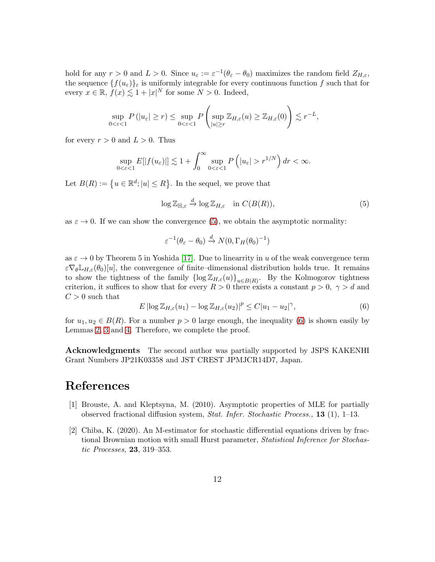hold for any  $r > 0$  and  $L > 0$ . Since  $u_{\varepsilon} := \varepsilon^{-1}(\theta_{\varepsilon} - \theta_0)$  maximizes the random field  $Z_{H,\varepsilon}$ , the sequence  $\{f(u_{\varepsilon})\}_{\varepsilon}$  is uniformly integrable for every continuous function f such that for every  $x \in \mathbb{R}$ ,  $f(x) \lesssim 1 + |x|^N$  for some  $N > 0$ . Indeed,

$$
\sup_{0<\varepsilon<1} P\left(|u_{\varepsilon}|\geq r\right)\leq \sup_{0<\varepsilon<1} P\left(\sup_{|u|\geq r} \mathbb{Z}_{H,\varepsilon}(u)\geq \mathbb{Z}_{H,\varepsilon}(0)\right)\lesssim r^{-L},
$$

for every  $r > 0$  and  $L > 0$ . Thus

$$
\sup_{0<\varepsilon<1} E[|f(u_{\varepsilon})|] \lesssim 1 + \int_0^{\infty} \sup_{0<\varepsilon<1} P\left(|u_{\varepsilon}| > r^{1/N}\right) dr < \infty.
$$

Let  $B(R) := \{u \in \mathbb{R}^d; |u| \leq R\}$ . In the sequel, we prove that

<span id="page-11-2"></span>
$$
\log \mathbb{Z}_{\mathbb{H},\varepsilon} \xrightarrow{d} \log \mathbb{Z}_{H,\varepsilon} \quad \text{in } C(B(R)),
$$
\n<sup>(5)</sup>

as  $\varepsilon \to 0$ . If we can show the convergence [\(5\)](#page-11-2), we obtain the asymptotic normality:

$$
\varepsilon^{-1}(\theta_{\varepsilon} - \theta_0) \xrightarrow{d} N(0, \Gamma_H(\theta_0)^{-1})
$$

as  $\varepsilon \to 0$  by Theorem 5 in Yoshida [\[17\]](#page-12-11). Due to linearrity in u of the weak convergence term  $\varepsilon \nabla_{\theta} \mathbb{L}_{H,\varepsilon}(\theta_0)[u],$  the convergence of finite–dimensional distribution holds true. It remains to show the tightness of the family  $\{\log \mathbb{Z}_{H,\varepsilon}(u)\}_{u\in B(R)}$ . By the Kolmogorov tightness criterion, it suffices to show that for every  $R > 0$  there exists a constant  $p > 0$ ,  $\gamma > d$  and  $C > 0$  such that

<span id="page-11-3"></span>
$$
E |\log \mathbb{Z}_{H,\varepsilon}(u_1) - \log \mathbb{Z}_{H,\varepsilon}(u_2)|^p \le C |u_1 - u_2|^\gamma,
$$
\n<sup>(6)</sup>

for  $u_1, u_2 \in B(R)$ . For a number  $p > 0$  large enough, the inequality [\(6\)](#page-11-3) is shown easily by Lemmas [2,](#page-6-0) [3](#page-10-0) and [4.](#page-10-1) Therefore, we complete the proof.

Acknowledgments The second author was partially supported by JSPS KAKENHI Grant Numbers JP21K03358 and JST CREST JPMJCR14D7, Japan.

### <span id="page-11-0"></span>References

- [1] Brouste, A. and Kleptsyna, M. (2010). Asymptotic properties of MLE for partially observed fractional diffusion system, Stat. Infer. Stochastic Process., 13 (1), 1–13.
- <span id="page-11-1"></span>[2] Chiba, K. (2020). An M-estimator for stochastic differential equations driven by fractional Brownian motion with small Hurst parameter, *Statistical Inference for Stochas*tic Processes, 23, 319–353.